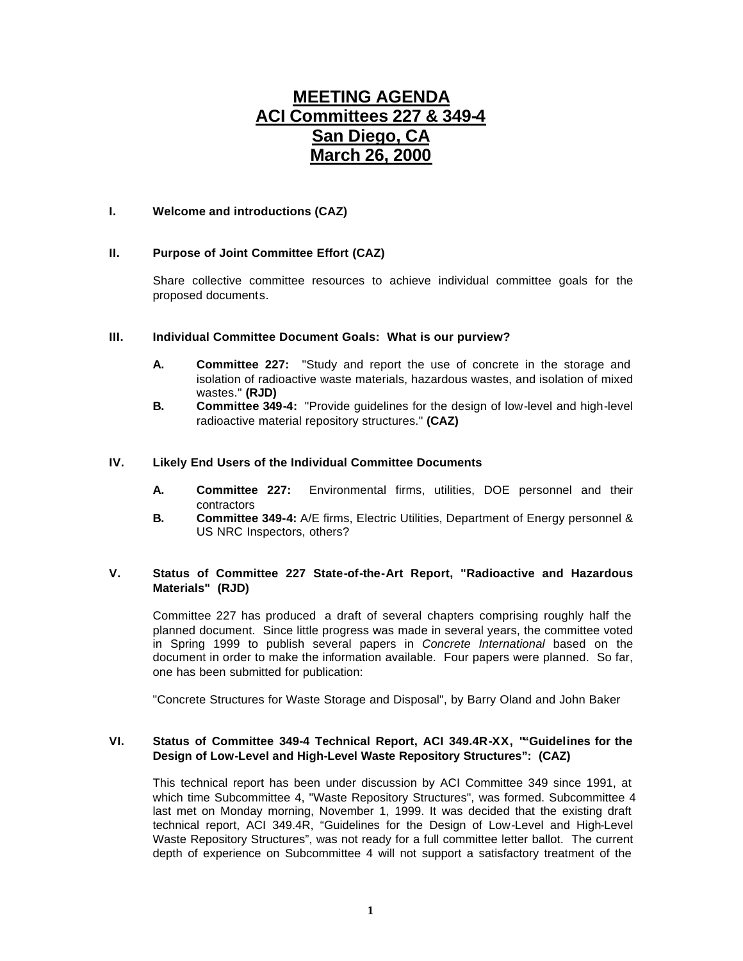# **MEETING AGENDA ACI Committees 227 & 349-4 San Diego, CA March 26, 2000**

## **I. Welcome and introductions (CAZ)**

# **II. Purpose of Joint Committee Effort (CAZ)**

Share collective committee resources to achieve individual committee goals for the proposed documents.

## **III. Individual Committee Document Goals: What is our purview?**

- **A. Committee 227:** "Study and report the use of concrete in the storage and isolation of radioactive waste materials, hazardous wastes, and isolation of mixed wastes." **(RJD)**
- **B. Committee 349-4:** "Provide guidelines for the design of low-level and high-level radioactive material repository structures." **(CAZ)**

## **IV. Likely End Users of the Individual Committee Documents**

- **A. Committee 227:** Environmental firms, utilities, DOE personnel and their contractors
- **B. Committee 349-4:** A/E firms, Electric Utilities, Department of Energy personnel & US NRC Inspectors, others?

# **V. Status of Committee 227 State-of-the-Art Report, "Radioactive and Hazardous Materials" (RJD)**

Committee 227 has produced a draft of several chapters comprising roughly half the planned document. Since little progress was made in several years, the committee voted in Spring 1999 to publish several papers in *Concrete International* based on the document in order to make the information available. Four papers were planned. So far, one has been submitted for publication:

"Concrete Structures for Waste Storage and Disposal", by Barry Oland and John Baker

### **VI. Status of Committee 349-4 Technical Report, ACI 349.4R-XX, ""Guidelines for the Design of Low-Level and High-Level Waste Repository Structures": (CAZ)**

This technical report has been under discussion by ACI Committee 349 since 1991, at which time Subcommittee 4, "Waste Repository Structures", was formed. Subcommittee 4 last met on Monday morning, November 1, 1999. It was decided that the existing draft technical report, ACI 349.4R, "Guidelines for the Design of Low-Level and High-Level Waste Repository Structures", was not ready for a full committee letter ballot. The current depth of experience on Subcommittee 4 will not support a satisfactory treatment of the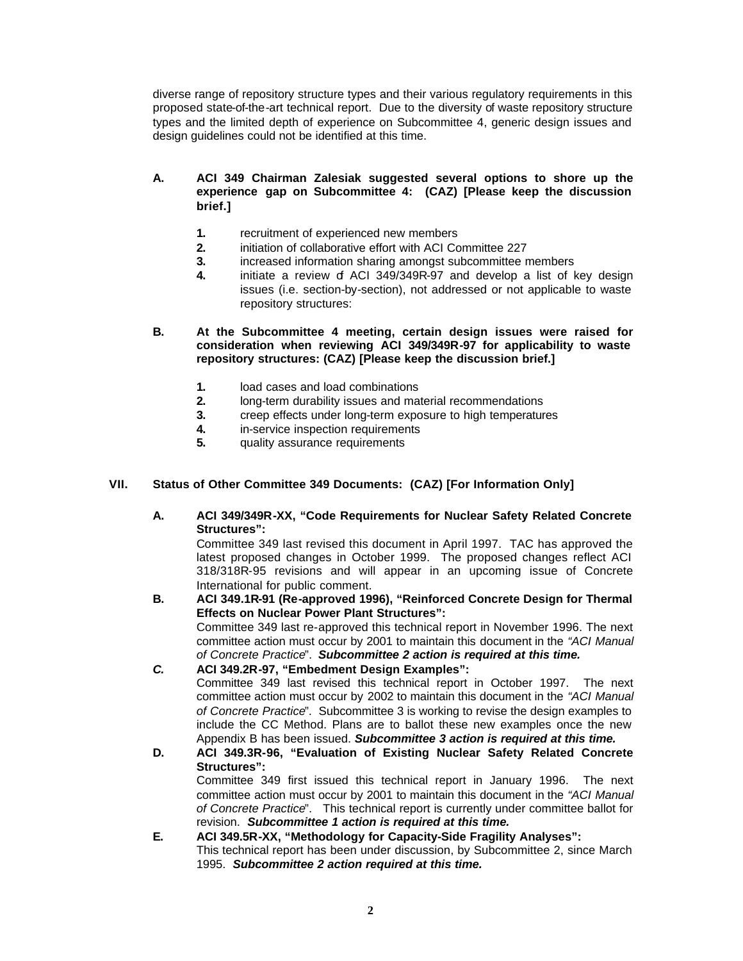diverse range of repository structure types and their various regulatory requirements in this proposed state-of-the-art technical report. Due to the diversity of waste repository structure types and the limited depth of experience on Subcommittee 4, generic design issues and design guidelines could not be identified at this time.

- **A. ACI 349 Chairman Zalesiak suggested several options to shore up the experience gap on Subcommittee 4: (CAZ) [Please keep the discussion brief.]**
	- **1.** recruitment of experienced new members
	- **2.** initiation of collaborative effort with ACI Committee 227
	- **3.** increased information sharing amongst subcommittee members
	- **4.** initiate a review of ACI 349/349R-97 and develop a list of key design issues (i.e. section-by-section), not addressed or not applicable to waste repository structures:

**B. At the Subcommittee 4 meeting, certain design issues were raised for consideration when reviewing ACI 349/349R-97 for applicability to waste repository structures: (CAZ) [Please keep the discussion brief.]**

- **1.** load cases and load combinations
- **2.** long-term durability issues and material recommendations
- **3.** creep effects under long-term exposure to high temperatures
- **4.** in-service inspection requirements
- **5.** quality assurance requirements

# **VII. Status of Other Committee 349 Documents: (CAZ) [For Information Only]**

**A. ACI 349/349R-XX, "Code Requirements for Nuclear Safety Related Concrete Structures":**

Committee 349 last revised this document in April 1997. TAC has approved the latest proposed changes in October 1999. The proposed changes reflect ACI 318/318R-95 revisions and will appear in an upcoming issue of Concrete International for public comment.

- **B. ACI 349.1R-91 (Re-approved 1996), "Reinforced Concrete Design for Thermal Effects on Nuclear Power Plant Structures":** Committee 349 last re-approved this technical report in November 1996. The next committee action must occur by 2001 to maintain this document in the *"ACI Manual of Concrete Practice*". *Subcommittee 2 action is required at this time.*
- *C.* **ACI 349.2R-97, "Embedment Design Examples":** Committee 349 last revised this technical report in October 1997. The next committee action must occur by 2002 to maintain this document in the *"ACI Manual of Concrete Practice*". Subcommittee 3 is working to revise the design examples to include the CC Method. Plans are to ballot these new examples once the new Appendix B has been issued. *Subcommittee 3 action is required at this time.*
- **D. ACI 349.3R-96, "Evaluation of Existing Nuclear Safety Related Concrete Structures":** Committee 349 first issued this technical report in January 1996. The next committee action must occur by 2001 to maintain this document in the *"ACI Manual of Concrete Practice*". This technical report is currently under committee ballot for revision. *Subcommittee 1 action is required at this time.*
- **E. ACI 349.5R-XX, "Methodology for Capacity-Side Fragility Analyses":** This technical report has been under discussion, by Subcommittee 2, since March 1995. *Subcommittee 2 action required at this time.*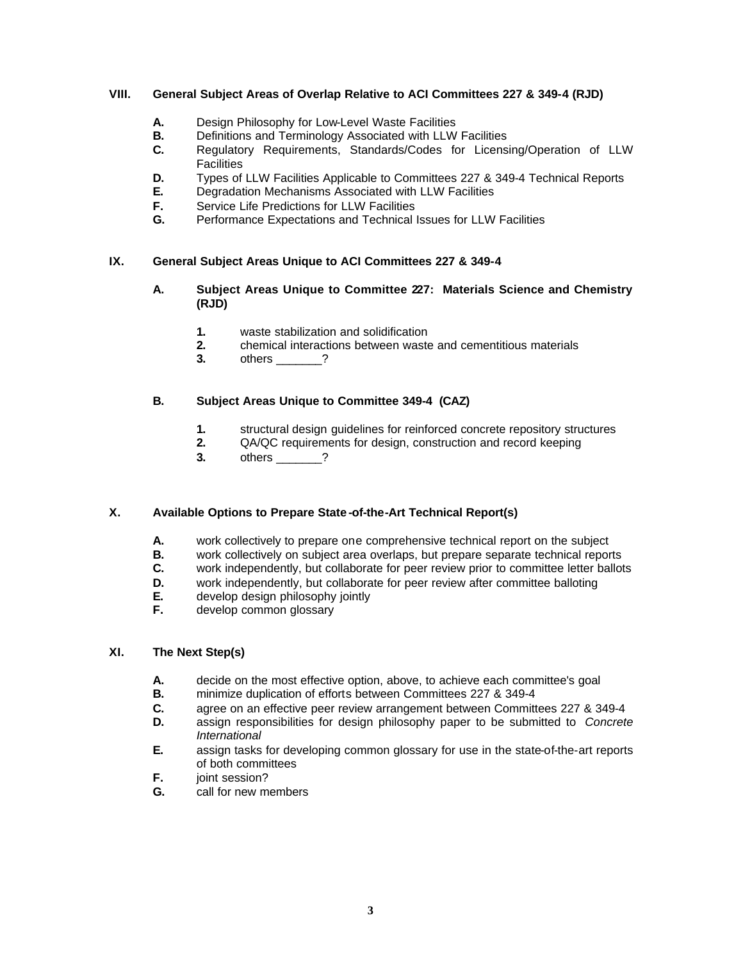## **VIII. General Subject Areas of Overlap Relative to ACI Committees 227 & 349-4 (RJD)**

- **A.** Design Philosophy for Low-Level Waste Facilities
- **B.** Definitions and Terminology Associated with LLW Facilities
- **C.** Regulatory Requirements, Standards/Codes for Licensing/Operation of LLW **Facilities**
- **D.** Types of LLW Facilities Applicable to Committees 227 & 349-4 Technical Reports
- **E.** Degradation Mechanisms Associated with LLW Facilities
- **F.** Service Life Predictions for LLW Facilities<br>**G.** Performance Expectations and Technical
- **G.** Performance Expectations and Technical Issues for LLW Facilities

# **IX. General Subject Areas Unique to ACI Committees 227 & 349-4**

- **A. Subject Areas Unique to Committee 227: Materials Science and Chemistry (RJD)**
	- **1.** waste stabilization and solidification
	- **2.** chemical interactions between waste and cementitious materials
	- **3.** others \_\_\_\_\_\_\_?

# **B. Subject Areas Unique to Committee 349-4 (CAZ)**

- **1.** structural design guidelines for reinforced concrete repository structures
- **2.** QA/QC requirements for design, construction and record keeping
- **3.** others \_\_\_\_\_\_\_?

## **X. Available Options to Prepare State -of-the-Art Technical Report(s)**

- **A.** work collectively to prepare one comprehensive technical report on the subject
- **B.** work collectively on subject area overlaps, but prepare separate technical reports<br>**C.** work independently, but collaborate for peer review prior to committee letter ballot
- work independently, but collaborate for peer review prior to committee letter ballots
- **D.** work independently, but collaborate for peer review after committee balloting
- **E.** develop design philosophy jointly
- **F.** develop common glossary

## **XI. The Next Step(s)**

- **A.** decide on the most effective option, above, to achieve each committee's goal<br>**B.** minimize duplication of efforts between Committees 227 & 349-4
- **B.** minimize duplication of efforts between Committees 227 & 349-4
- **C.** agree on an effective peer review arrangement between Committees 227 & 349-4
- **D.** assign responsibilities for design philosophy paper to be submitted to *Concrete International*
- **E.** assign tasks for developing common glossary for use in the state-of-the-art reports of both committees
- **F.** joint session?
- **G.** call for new members